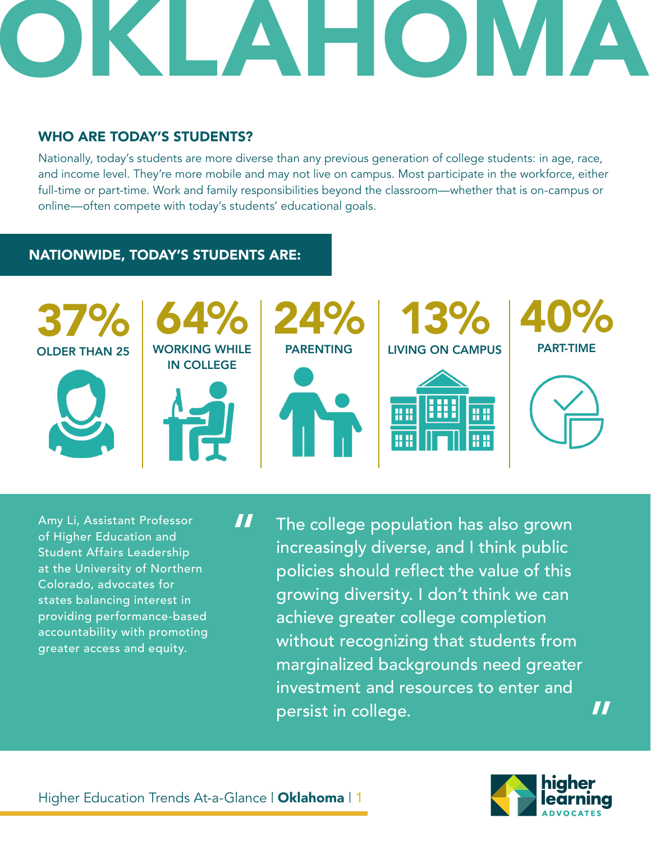#### WHO ARE TODAY'S STUDENTS?

Nationally, today's students are more diverse than any previous generation of college students: in age, race, and income level. They're more mobile and may not live on campus. Most participate in the workforce, either full-time or part-time. Work and family responsibilities beyond the classroom—whether that is on-campus or online—often compete with today's students' educational goals.

#### NATIONWIDE, TODAY'S STUDENTS ARE:



Amy Li, Assistant Professor of Higher Education and Student Affairs Leadership at the University of Northern Colorado, advocates for states balancing interest in providing performance-based accountability with promoting greater access and equity.

The college population has also grown increasingly diverse, and I think public policies should reflect the value of this growing diversity. I don't think we can achieve greater college completion without recognizing that students from marginalized backgrounds need greater investment and resources to enter and persist in college.



"

"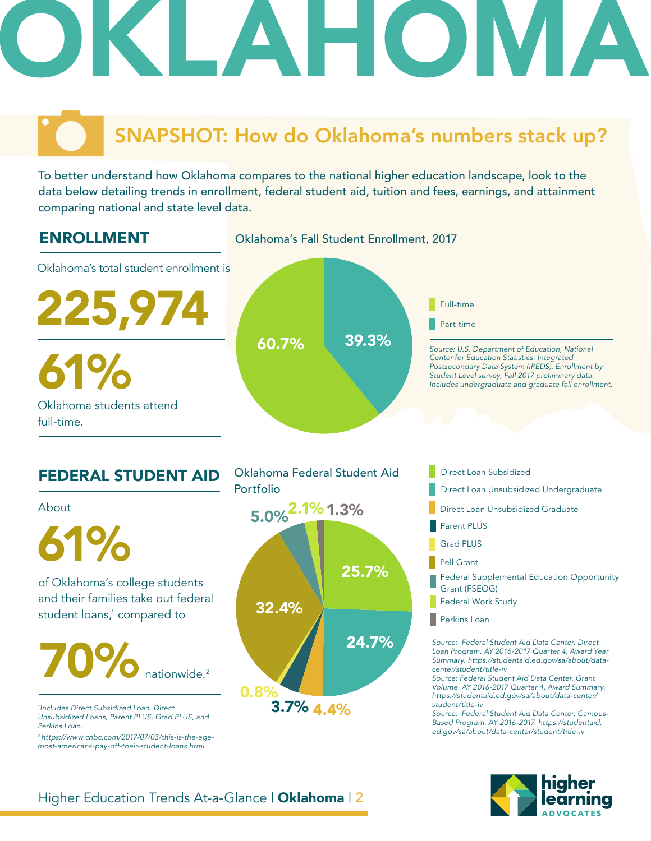## SNAPSHOT: How do Oklahoma's numbers stack up?

To better understand how Oklahoma compares to the national higher education landscape, look to the data below detailing trends in enrollment, federal student aid, tuition and fees, earnings, and attainment comparing national and state level data.



## FEDERAL STUDENT AID About

of Oklahoma's college students **1988 COMPT 100 SET 25.7%** and their families take out federal student loans,<sup>1</sup> compared to 61%

### 70% nationwide. 2

*1 Includes Direct Subsidized Loan, Direct Unsubsidized Loans, Parent PLUS, Grad PLUS, and Perkins Loan.* 

*2 https://www.cnbc.com/2017/07/03/this-is-the-agemost-americans-pay-off-their-student-loans.html*





- Direct Loan Subsidized
- 
- Direct Loan Unsubsidized Graduate
- Parent PLUS
- Grad PLUS
- Pell Grant
- Federal Supplemental Education Opportunity Grant (FSEOG)
- Federal Work Study
- **Perkins Loan**

*Source: Federal Student Aid Data Center. Direct Loan Program. AY 2016-2017 Quarter 4, Award Year Summary. https://studentaid.ed.gov/sa/about/datacenter/student/title-iv*

*Source: Federal Student Aid Data Center. Grant Volume. AY 2016-2017 Quarter 4, Award Summary. https://studentaid.ed.gov/sa/about/data-center/ student/title-iv*

*Source: Federal Student Aid Data Center. Campus-Based Program. AY 2016-2017. https://studentaid. ed.gov/sa/about/data-center/student/title-iv*



#### Higher Education Trends At-a-Glance | Oklahoma | 2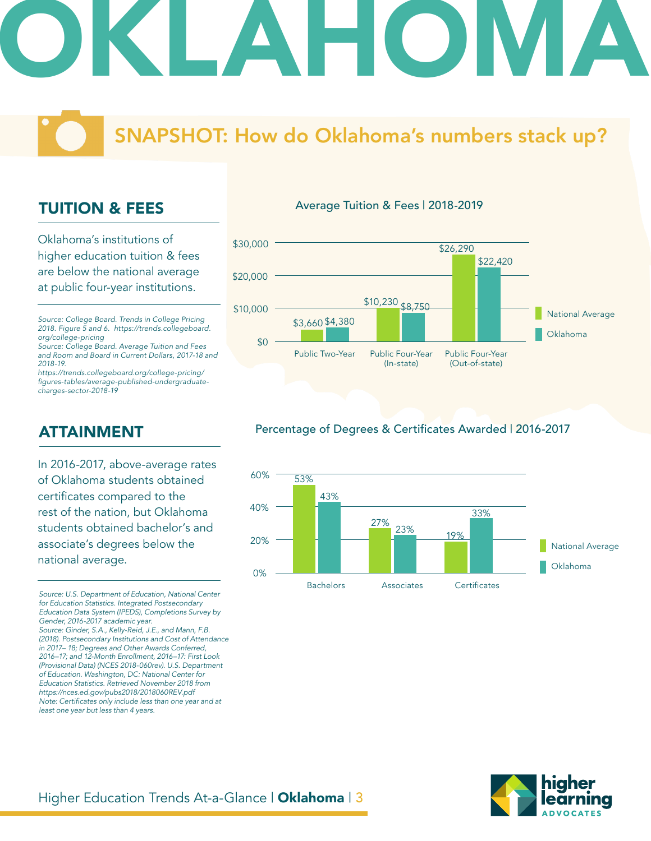### SNAPSHOT: How do Oklahoma's numbers stack up?

#### TUITION & FEES

Oklahoma's institutions of higher education tuition & fees are below the national average at public four-year institutions.

*Source: College Board. Trends in College Pricing 2018. Figure 5 and 6. https://trends.collegeboard. org/college-pricing*

*Source: College Board. Average Tuition and Fees and Room and Board in Current Dollars, 2017-18 and 2018-19.*

*https://trends.collegeboard.org/college-pricing/* figures-tables/average-published-undergraduate*charges-sector-2018-19*

#### ATTAINMENT

In 2016-2017, above-average rates of Oklahoma students obtained certificates compared to the rest of the nation, but Oklahoma students obtained bachelor's and associate's degrees below the national average.

*Source: U.S. Department of Education, National Center for Education Statistics. Integrated Postsecondary Education Data System (IPEDS), Completions Survey by Gender, 2016-2017 academic year. Source: Ginder, S.A., Kelly-Reid, J.E., and Mann, F.B. (2018). Postsecondary Institutions and Cost of Attendance in 2017– 18; Degrees and Other Awards Conferred,* 

*2016–17; and 12-Month Enrollment, 2016–17: First Look (Provisional Data) (NCES 2018-060rev). U.S. Department of Education. Washington, DC: National Center for Education Statistics. Retrieved November 2018 from https://nces.ed.gov/pubs2018/2018060REV.pdf* Note: Certificates only include less than one year and at *least one year but less than 4 years.* 

#### Average Tuition & Fees | 2018-2019



#### Percentage of Degrees & Certificates Awarded | 2016-2017



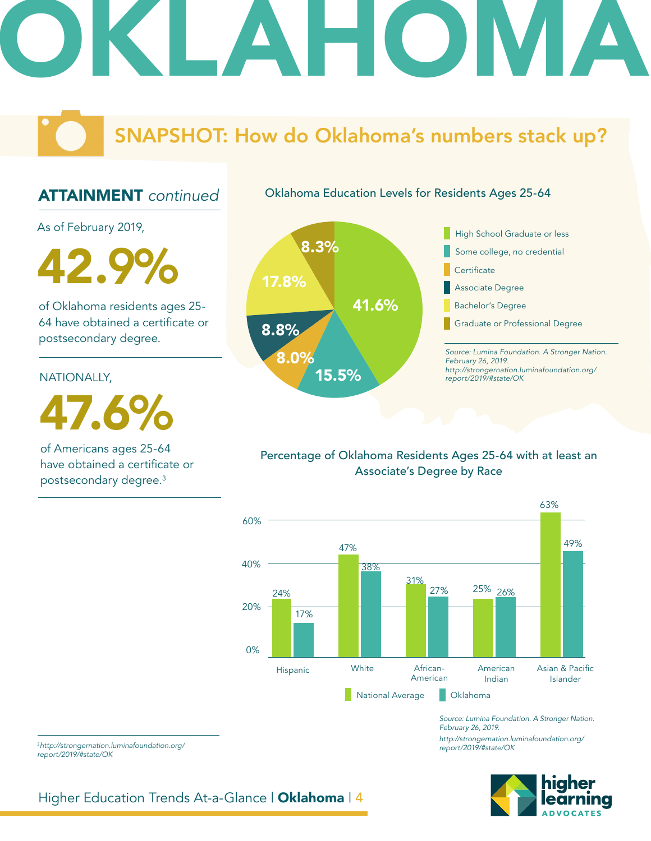### SNAPSHOT: How do Oklahoma's numbers stack up?

Oklahoma Education Levels for Residents Ages 25-64

#### ATTAINMENT *continued*

As of February 2019,

42.9%

of Oklahoma residents ages 25- 64 have obtained a certificate or postsecondary degree.

NATIONALLY,

47.6%

of Americans ages 25-64 have obtained a certificate or postsecondary degree.3



*Source: Lumina Foundation. A Stronger Nation. February 26, 2019. http://strongernation.luminafoundation.org/ report/2019/#state/OK* Some college, no credential High School Graduate or less **Certificate** Associate Degree Bachelor's Degree Graduate or Professional Degree

#### Percentage of Oklahoma Residents Ages 25-64 with at least an Associate's Degree by Race



*Source: Lumina Foundation. A Stronger Nation. February 26, 2019. http://strongernation.luminafoundation.org/ report/2019/#state/OK*

<sup>3</sup>*http://strongernation.luminafoundation.org/ report/2019/#state/OK*

Higher Education Trends At-a-Glance | Oklahoma | 4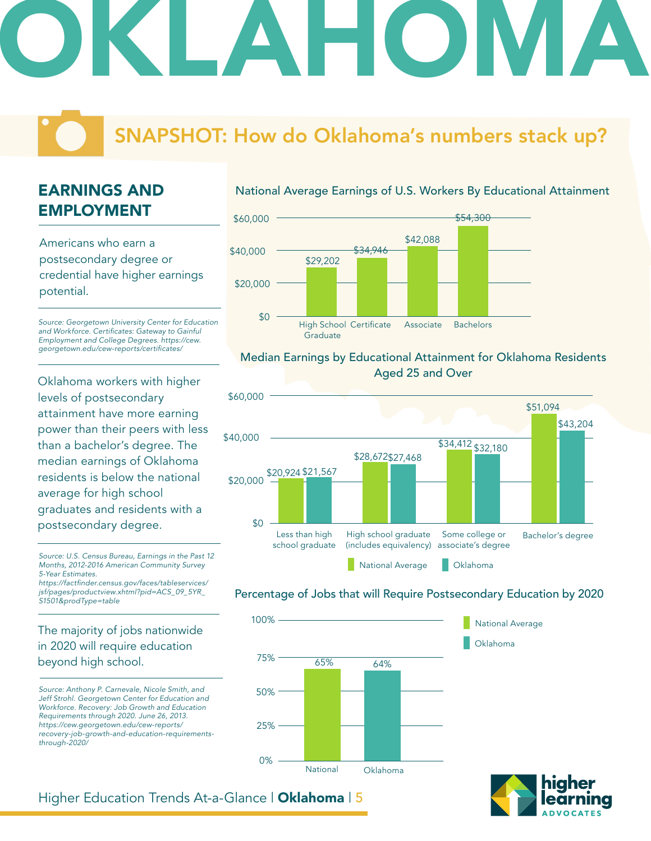### SNAPSHOT: How do Oklahoma's numbers stack up?

### EARNINGS AND EMPLOYMENT

Americans who earn a postsecondary degree or credential have higher earnings potential.

*Source: Georgetown University Center for Education*  and Workforce. Certificates: Gateway to Gainful *Employment and College Degrees. https://cew.* georgetown.edu/cew-reports/certificates/

Oklahoma workers with higher levels of postsecondary attainment have more earning power than their peers with less than a bachelor's degree. The median earnings of Oklahoma residents is below the national average for high school graduates and residents with a postsecondary degree.

*Source: U.S. Census Bureau, Earnings in the Past 12 Months, 2012-2016 American Community Survey 5-Year Estimates.*

https://factfinder.census.gov/faces/tableservices/ *jsf/pages/productview.xhtml?pid=ACS\_09\_5YR\_ S1501&prodType=table*

#### The majority of jobs nationwide in 2020 will require education beyond high school.

*Source: Anthony P. Carnevale, Nicole Smith, and Jeff Strohl. Georgetown Center for Education and Workforce. Recovery: Job Growth and Education Requirements through 2020. June 26, 2013. https://cew.georgetown.edu/cew-reports/ recovery-job-growth-and-education-requirementsthrough-2020/*

#### National Average Earnings of U.S. Workers By Educational Attainment



#### Median Earnings by Educational Attainment for Oklahoma Residents Aged 25 and Over



#### Percentage of Jobs that will Require Postsecondary Education by 2020

Oklahoma

National Average





#### Higher Education Trends At-a-Glance | Oklahoma | 5